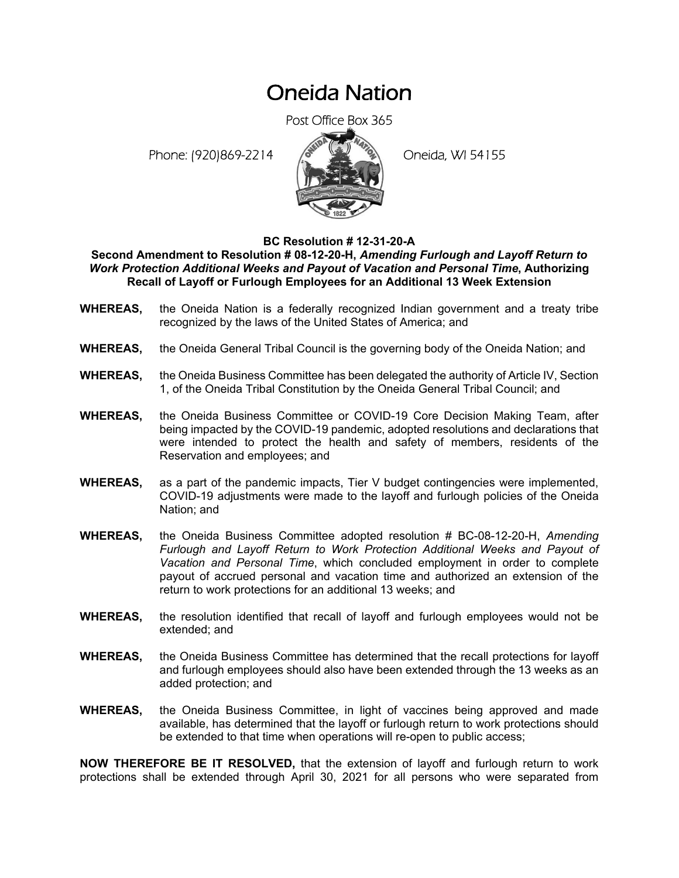## Oneida Nation

Post Office Box 365

Phone: (920)869-2214 (8 April 19) Oneida, WI 54155



## **BC Resolution # 12-31-20-A**

## **Second Amendment to Resolution # 08-12-20-H,** *Amending Furlough and Layoff Return to Work Protection Additional Weeks and Payout of Vacation and Personal Time***, Authorizing Recall of Layoff or Furlough Employees for an Additional 13 Week Extension**

- **WHEREAS,** the Oneida Nation is a federally recognized Indian government and a treaty tribe recognized by the laws of the United States of America; and
- **WHEREAS,** the Oneida General Tribal Council is the governing body of the Oneida Nation; and
- **WHEREAS,** the Oneida Business Committee has been delegated the authority of Article IV, Section 1, of the Oneida Tribal Constitution by the Oneida General Tribal Council; and
- **WHEREAS,** the Oneida Business Committee or COVID-19 Core Decision Making Team, after being impacted by the COVID-19 pandemic, adopted resolutions and declarations that were intended to protect the health and safety of members, residents of the Reservation and employees; and
- **WHEREAS,** as a part of the pandemic impacts, Tier V budget contingencies were implemented, COVID-19 adjustments were made to the layoff and furlough policies of the Oneida Nation; and
- **WHEREAS,** the Oneida Business Committee adopted resolution # BC-08-12-20-H, *Amending Furlough and Layoff Return to Work Protection Additional Weeks and Payout of Vacation and Personal Time*, which concluded employment in order to complete payout of accrued personal and vacation time and authorized an extension of the return to work protections for an additional 13 weeks; and
- **WHEREAS,** the resolution identified that recall of layoff and furlough employees would not be extended; and
- **WHEREAS,** the Oneida Business Committee has determined that the recall protections for layoff and furlough employees should also have been extended through the 13 weeks as an added protection; and
- **WHEREAS,** the Oneida Business Committee, in light of vaccines being approved and made available, has determined that the layoff or furlough return to work protections should be extended to that time when operations will re-open to public access;

**NOW THEREFORE BE IT RESOLVED,** that the extension of layoff and furlough return to work protections shall be extended through April 30, 2021 for all persons who were separated from